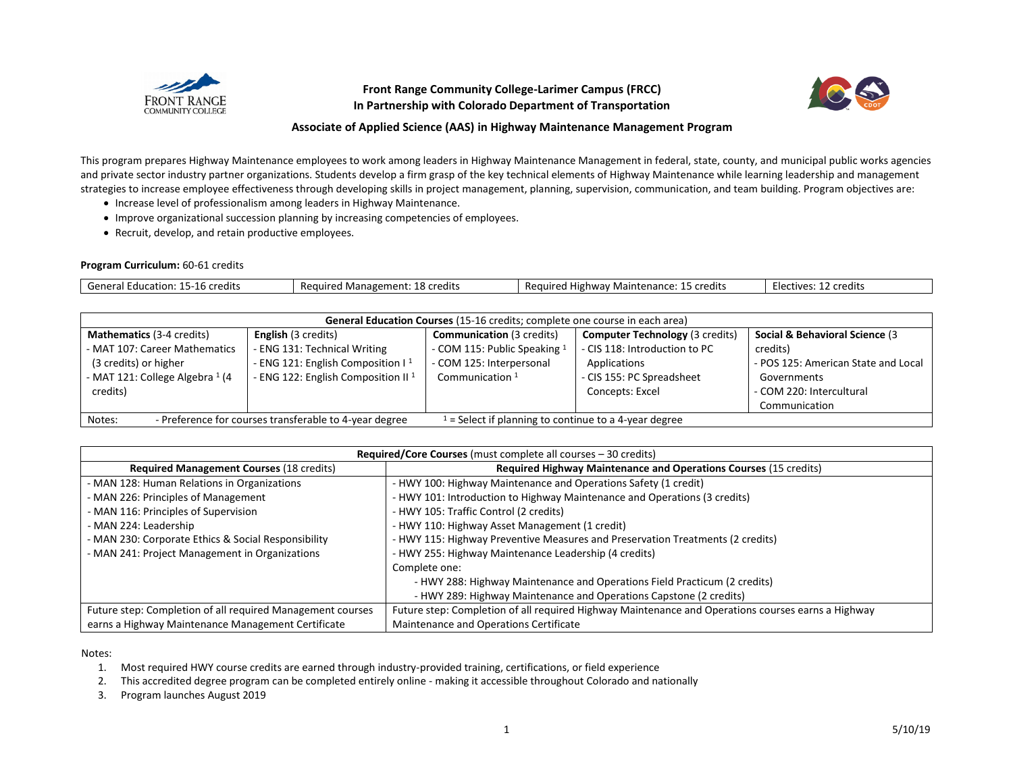

## **Front Range Community College-Larimer Campus (FRCC) In Partnership with Colorado Department of Transportation**



## **Associate of Applied Science (AAS) in Highway Maintenance Management Program**

This program prepares Highway Maintenance employees to work among leaders in Highway Maintenance Management in federal, state, county, and municipal public works agencies and private sector industry partner organizations. Students develop a firm grasp of the key technical elements of Highway Maintenance while learning leadership and management strategies to increase employee effectiveness through developing skills in project management, planning, supervision, communication, and team building. Program objectives are:

- Increase level of professionalism among leaders in Highway Maintenance.
- Improve organizational succession planning by increasing competencies of employees.
- Recruit, develop, and retain productive employees.

## **Program Curriculum:** 60-61 credits

| credits<br>oener<br>' Education. | Required<br>credits<br>Management: | credits<br>.<br>tananca.<br>1ainte<br>∴lıσhws.<br>Reguired<br>n.<br>11 P<br>. I I VV d V<br>31 1 0 1 1 U<br>. . | credits<br>- ہے۔<br>. TIVAS. |
|----------------------------------|------------------------------------|-----------------------------------------------------------------------------------------------------------------|------------------------------|

| <b>General Education Courses</b> (15-16 credits; complete one course in each area) |                                                        |                                                       |                                        |                                     |  |
|------------------------------------------------------------------------------------|--------------------------------------------------------|-------------------------------------------------------|----------------------------------------|-------------------------------------|--|
| <b>Mathematics (3-4 credits)</b>                                                   | <b>English</b> (3 credits)                             | <b>Communication (3 credits)</b>                      | <b>Computer Technology</b> (3 credits) | Social & Behavioral Science (3      |  |
| - MAT 107: Career Mathematics                                                      | - ENG 131: Technical Writing                           | - COM 115: Public Speaking 1                          | - CIS 118: Introduction to PC          | credits)                            |  |
| (3 credits) or higher                                                              | - ENG 121: English Composition I <sup>1</sup>          | - COM 125: Interpersonal                              | Applications                           | - POS 125: American State and Local |  |
| - MAT 121: College Algebra 1 (4                                                    | - ENG 122: English Composition II <sup>1</sup>         | Communication $1$                                     | - CIS 155: PC Spreadsheet              | Governments                         |  |
| credits)                                                                           |                                                        |                                                       | Concepts: Excel                        | - COM 220: Intercultural            |  |
|                                                                                    |                                                        |                                                       |                                        | Communication                       |  |
| Notes:                                                                             | - Preference for courses transferable to 4-year degree | $=$ Select if planning to continue to a 4-year degree |                                        |                                     |  |

| Required/Core Courses (must complete all courses – 30 credits) |                                                                                                    |  |  |  |
|----------------------------------------------------------------|----------------------------------------------------------------------------------------------------|--|--|--|
| <b>Required Management Courses (18 credits)</b>                | Required Highway Maintenance and Operations Courses (15 credits)                                   |  |  |  |
| - MAN 128: Human Relations in Organizations                    | - HWY 100: Highway Maintenance and Operations Safety (1 credit)                                    |  |  |  |
| - MAN 226: Principles of Management                            | - HWY 101: Introduction to Highway Maintenance and Operations (3 credits)                          |  |  |  |
| - MAN 116: Principles of Supervision                           | - HWY 105: Traffic Control (2 credits)                                                             |  |  |  |
| - MAN 224: Leadership                                          | - HWY 110: Highway Asset Management (1 credit)                                                     |  |  |  |
| - MAN 230: Corporate Ethics & Social Responsibility            | - HWY 115: Highway Preventive Measures and Preservation Treatments (2 credits)                     |  |  |  |
| - MAN 241: Project Management in Organizations                 | - HWY 255: Highway Maintenance Leadership (4 credits)                                              |  |  |  |
|                                                                | Complete one:                                                                                      |  |  |  |
|                                                                | - HWY 288: Highway Maintenance and Operations Field Practicum (2 credits)                          |  |  |  |
|                                                                | - HWY 289: Highway Maintenance and Operations Capstone (2 credits)                                 |  |  |  |
| Future step: Completion of all required Management courses     | Future step: Completion of all required Highway Maintenance and Operations courses earns a Highway |  |  |  |
| earns a Highway Maintenance Management Certificate             | Maintenance and Operations Certificate                                                             |  |  |  |

Notes:

1. Most required HWY course credits are earned through industry-provided training, certifications, or field experience

2. This accredited degree program can be completed entirely online - making it accessible throughout Colorado and nationally

3. Program launches August 2019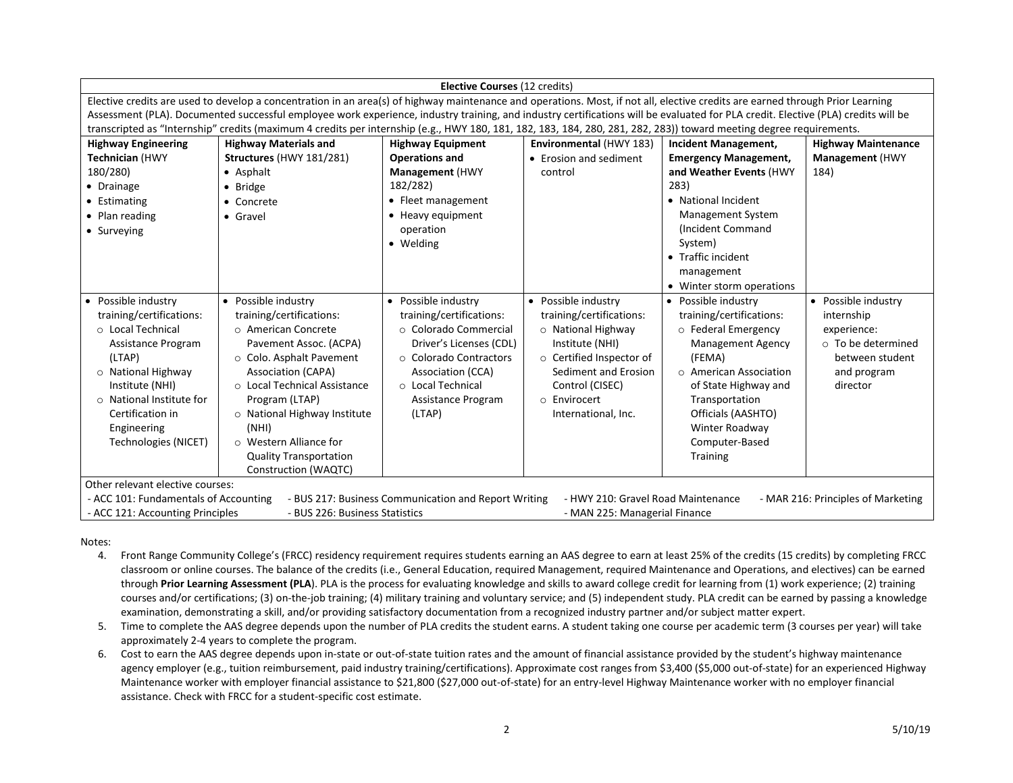| <b>Elective Courses (12 credits)</b>                                                                                                                                              |                                                                                                                                                                                |                          |                          |                              |                            |  |
|-----------------------------------------------------------------------------------------------------------------------------------------------------------------------------------|--------------------------------------------------------------------------------------------------------------------------------------------------------------------------------|--------------------------|--------------------------|------------------------------|----------------------------|--|
|                                                                                                                                                                                   | Elective credits are used to develop a concentration in an area(s) of highway maintenance and operations. Most, if not all, elective credits are earned through Prior Learning |                          |                          |                              |                            |  |
| Assessment (PLA). Documented successful employee work experience, industry training, and industry certifications will be evaluated for PLA credit. Elective (PLA) credits will be |                                                                                                                                                                                |                          |                          |                              |                            |  |
|                                                                                                                                                                                   | transcripted as "Internship" credits (maximum 4 credits per internship (e.g., HWY 180, 181, 182, 183, 184, 280, 281, 282, 283)) toward meeting degree requirements.            |                          |                          |                              |                            |  |
| <b>Highway Engineering</b>                                                                                                                                                        | <b>Highway Materials and</b>                                                                                                                                                   | <b>Highway Equipment</b> | Environmental (HWY 183)  | <b>Incident Management,</b>  | <b>Highway Maintenance</b> |  |
| <b>Technician (HWY</b>                                                                                                                                                            | Structures (HWY 181/281)                                                                                                                                                       | <b>Operations and</b>    | • Erosion and sediment   | <b>Emergency Management,</b> | <b>Management</b> (HWY     |  |
| 180/280)                                                                                                                                                                          | • Asphalt                                                                                                                                                                      | <b>Management</b> (HWY   | control                  | and Weather Events (HWY      | 184)                       |  |
| • Drainage                                                                                                                                                                        | • Bridge                                                                                                                                                                       | 182/282)                 |                          | 283)                         |                            |  |
| • Estimating                                                                                                                                                                      | • Concrete                                                                                                                                                                     | • Fleet management       |                          | • National Incident          |                            |  |
| • Plan reading                                                                                                                                                                    | • Gravel                                                                                                                                                                       | • Heavy equipment        |                          | <b>Management System</b>     |                            |  |
| • Surveying                                                                                                                                                                       |                                                                                                                                                                                | operation                |                          | (Incident Command            |                            |  |
|                                                                                                                                                                                   |                                                                                                                                                                                | • Welding                |                          | System)                      |                            |  |
|                                                                                                                                                                                   |                                                                                                                                                                                |                          |                          | • Traffic incident           |                            |  |
|                                                                                                                                                                                   |                                                                                                                                                                                |                          |                          | management                   |                            |  |
|                                                                                                                                                                                   |                                                                                                                                                                                |                          |                          | • Winter storm operations    |                            |  |
| Possible industry<br>$\bullet$                                                                                                                                                    | • Possible industry                                                                                                                                                            | • Possible industry      | • Possible industry      | • Possible industry          | • Possible industry        |  |
| training/certifications:                                                                                                                                                          | training/certifications:                                                                                                                                                       | training/certifications: | training/certifications: | training/certifications:     | internship                 |  |
| o Local Technical                                                                                                                                                                 | o American Concrete                                                                                                                                                            | ○ Colorado Commercial    | $\circ$ National Highway | o Federal Emergency          | experience:                |  |
| Assistance Program                                                                                                                                                                | Pavement Assoc. (ACPA)                                                                                                                                                         | Driver's Licenses (CDL)  | Institute (NHI)          | <b>Management Agency</b>     | o To be determined         |  |
| (LTAP)                                                                                                                                                                            | ○ Colo. Asphalt Pavement                                                                                                                                                       | ○ Colorado Contractors   | o Certified Inspector of | (FEMA)                       | between student            |  |
| o National Highway                                                                                                                                                                | <b>Association (CAPA)</b>                                                                                                                                                      | <b>Association (CCA)</b> | Sediment and Erosion     | $\circ$ American Association | and program                |  |
| Institute (NHI)                                                                                                                                                                   | ○ Local Technical Assistance                                                                                                                                                   | o Local Technical        | Control (CISEC)          | of State Highway and         | director                   |  |
| ○ National Institute for                                                                                                                                                          | Program (LTAP)                                                                                                                                                                 | Assistance Program       | o Envirocert             | Transportation               |                            |  |
| Certification in                                                                                                                                                                  | o National Highway Institute                                                                                                                                                   | (LTAP)                   | International, Inc.      | Officials (AASHTO)           |                            |  |
| Engineering                                                                                                                                                                       | (NHI)                                                                                                                                                                          |                          |                          | Winter Roadway               |                            |  |
| Technologies (NICET)                                                                                                                                                              | ○ Western Alliance for                                                                                                                                                         |                          |                          | Computer-Based               |                            |  |
|                                                                                                                                                                                   | <b>Quality Transportation</b>                                                                                                                                                  |                          |                          | <b>Training</b>              |                            |  |
|                                                                                                                                                                                   | Construction (WAQTC)                                                                                                                                                           |                          |                          |                              |                            |  |
| Other relevant elective courses:                                                                                                                                                  |                                                                                                                                                                                |                          |                          |                              |                            |  |
| - HWY 210: Gravel Road Maintenance<br>- ACC 101: Fundamentals of Accounting<br>- BUS 217: Business Communication and Report Writing<br>- MAR 216: Principles of Marketing         |                                                                                                                                                                                |                          |                          |                              |                            |  |
| - ACC 121: Accounting Principles<br>- BUS 226: Business Statistics<br>- MAN 225: Managerial Finance                                                                               |                                                                                                                                                                                |                          |                          |                              |                            |  |

Notes:

- 4. Front Range Community College's (FRCC) residency requirement requires students earning an AAS degree to earn at least 25% of the credits (15 credits) by completing FRCC classroom or online courses. The balance of the credits (i.e., General Education, required Management, required Maintenance and Operations, and electives) can be earned through **Prior Learning Assessment (PLA**). PLA is the process for evaluating knowledge and skills to award college credit for learning from (1) work experience; (2) training courses and/or certifications; (3) on-the-job training; (4) military training and voluntary service; and (5) independent study. PLA credit can be earned by passing a knowledge examination, demonstrating a skill, and/or providing satisfactory documentation from a recognized industry partner and/or subject matter expert.
- 5. Time to complete the AAS degree depends upon the number of PLA credits the student earns. A student taking one course per academic term (3 courses per year) will take approximately 2-4 years to complete the program.
- 6. Cost to earn the AAS degree depends upon in-state or out-of-state tuition rates and the amount of financial assistance provided by the student's highway maintenance agency employer (e.g., tuition reimbursement, paid industry training/certifications). Approximate cost ranges from \$3,400 (\$5,000 out-of-state) for an experienced Highway Maintenance worker with employer financial assistance to \$21,800 (\$27,000 out-of-state) for an entry-level Highway Maintenance worker with no employer financial assistance. Check with FRCC for a student-specific cost estimate.